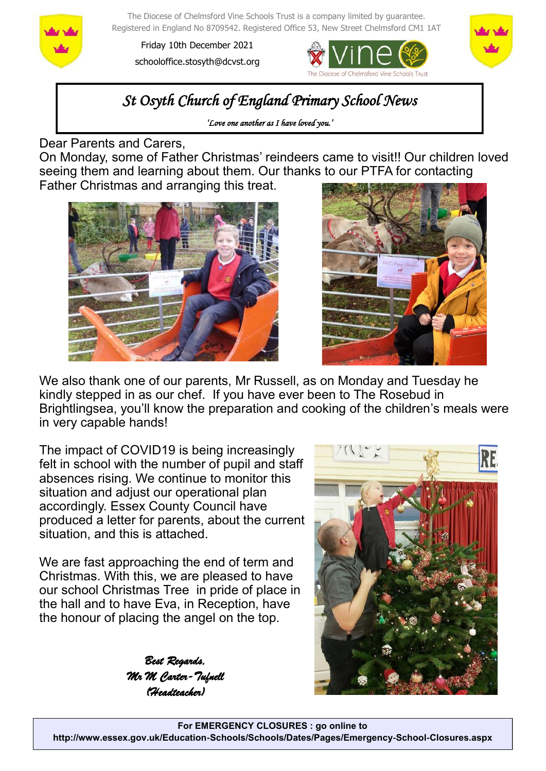

The Diocese of Chelmsford Vine Schools Trust is a company limited by guarantee. Registered in England No 8709542. Registered Office 53, New Street Chelmsford CM1 1AT

Friday 10th December 2021 schooloffice.stosyth@dcvst.org





# *St Osyth Church of England Primary School News*

*'Love one another as I have loved you.'* 

Dear Parents and Carers,

On Monday, some of Father Christmas' reindeers came to visit!! Our children loved seeing them and learning about them. Our thanks to our PTFA for contacting Father Christmas and arranging this treat.





We also thank one of our parents, Mr Russell, as on Monday and Tuesday he kindly stepped in as our chef. If you have ever been to The Rosebud in Brightlingsea, you'll know the preparation and cooking of the children's meals were in very capable hands!

The impact of COVID19 is being increasingly felt in school with the number of pupil and staff absences rising. We continue to monitor this situation and adiust our operational plan accordingly. Essex County Council have produced a letter for parents, about the current situation, and this is attached.

We are fast approaching the end of term and Christmas. With this, we are pleased to have our school Christmas Tree in pride of place in the hall and to have Eva, in Reception, have the honour of placing the angel on the top.

> *Best Regards, Mr M Carter-Tufnell (Headteacher)*

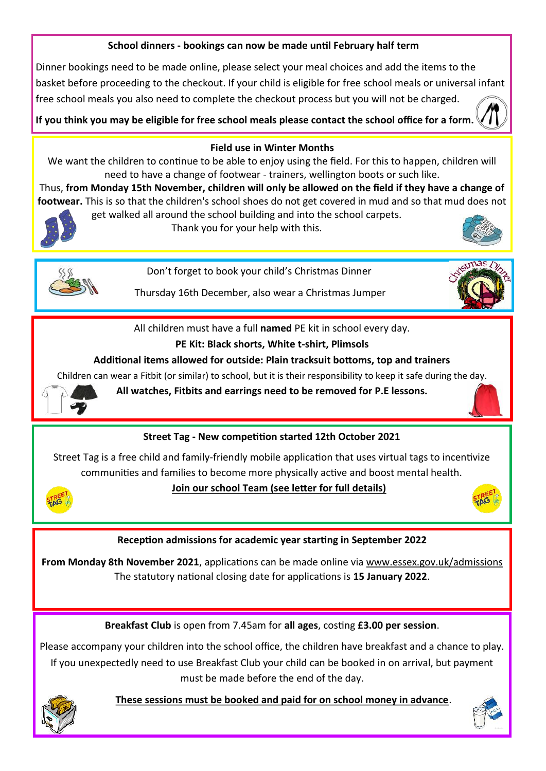## **School dinners - bookings can now be made until February half term**

Dinner bookings need to be made online, please select your meal choices and add the items to the basket before proceeding to the checkout. If your child is eligible for free school meals or universal infant free school meals you also need to complete the checkout process but you will not be charged.

**If you think you may be eligible for free school meals please contact the school office for a form.** 



#### **Field use in Winter Months**

We want the children to continue to be able to enjoy using the field. For this to happen, children will need to have a change of footwear - trainers, wellington boots or such like.

Thus, **from Monday 15th November, children will only be allowed on the field if they have a change of footwear.** This is so that the children's school shoes do not get covered in mud and so that mud does not get walked all around the school building and into the school carpets.



Thank you for your help with this.





Don't forget to book your child's Christmas Dinner

Thursday 16th December, also wear a Christmas Jumper



All children must have a full **named** PE kit in school every day.

## **PE Kit: Black shorts, White t-shirt, Plimsols**

#### **Additional items allowed for outside: Plain tracksuit bottoms, top and trainers**

Children can wear a Fitbit (or similar) to school, but it is their responsibility to keep it safe during the day.



**All watches, Fitbits and earrings need to be removed for P.E lessons.**

# **Street Tag - New competition started 12th October 2021**

Street Tag is a free child and family-friendly mobile application that uses virtual tags to incentivize communities and families to become more physically active and boost mental health.



#### **Join our school Team (see letter for full details)**



#### **Reception admissions for academic year starting in September 2022**

**From Monday 8th November 2021**, applications can be made online via [www.essex.gov.uk/admissions](https://gbr01.safelinks.protection.outlook.com/?url=http%3A%2F%2Fwww.essex.gov.uk%2Fadmissions&data=04%7C01%7Cschooloffice.stosyth%40dcvst.org%7Cd9dfd22d78a64e7d492d08d9a046cdd1%7C282c78034b8f4fbda3841682df47e3ad%7C1%7C0%7C637717048224412247%7CUnknown%7CTWFpb)  The statutory national closing date for applications is **15 January 2022**.

**Breakfast Club** is open from 7.45am for **all ages**, costing **£3.00 per session**.

Please accompany your children into the school office, the children have breakfast and a chance to play. If you unexpectedly need to use Breakfast Club your child can be booked in on arrival, but payment must be made before the end of the day.



 **These sessions must be booked and paid for on school money in advance**.